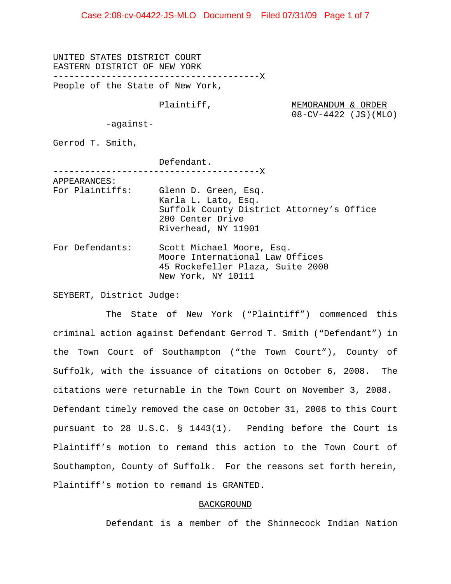Case 2:08-cv-04422-JS-MLO Document 9 Filed 07/31/09 Page 1 of 7

UNITED STATES DISTRICT COURT EASTERN DISTRICT OF NEW YORK ---------------------------------------X People of the State of New York,

Plaintiff, MEMORANDUM & ORDER 08-CV-4422 (JS)(MLO)

-against-

Gerrod T. Smith,

Defendant. ---------------------------------------X APPEARANCES: For Plaintiffs: Glenn D. Green, Esq. Karla L. Lato, Esq. Suffolk County District Attorney's Office 200 Center Drive Riverhead, NY 11901 For Defendants: Scott Michael Moore, Esq. Moore International Law Offices 45 Rockefeller Plaza, Suite 2000 New York, NY 10111

SEYBERT, District Judge:

The State of New York ("Plaintiff") commenced this criminal action against Defendant Gerrod T. Smith ("Defendant") in the Town Court of Southampton ("the Town Court"), County of Suffolk, with the issuance of citations on October 6, 2008. The citations were returnable in the Town Court on November 3, 2008. Defendant timely removed the case on October 31, 2008 to this Court pursuant to 28 U.S.C. § 1443(1). Pending before the Court is Plaintiff's motion to remand this action to the Town Court of Southampton, County of Suffolk. For the reasons set forth herein, Plaintiff's motion to remand is GRANTED.

#### BACKGROUND

Defendant is a member of the Shinnecock Indian Nation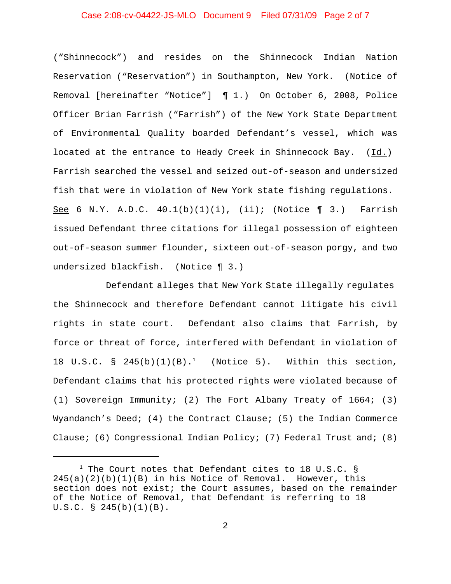## Case 2:08-cv-04422-JS-MLO Document 9 Filed 07/31/09 Page 2 of 7

("Shinnecock") and resides on the Shinnecock Indian Nation Reservation ("Reservation") in Southampton, New York. (Notice of Removal [hereinafter "Notice"] ¶ 1.) On October 6, 2008, Police Officer Brian Farrish ("Farrish") of the New York State Department of Environmental Quality boarded Defendant's vessel, which was located at the entrance to Heady Creek in Shinnecock Bay.  $(Id.)$ Farrish searched the vessel and seized out-of-season and undersized fish that were in violation of New York state fishing regulations. See 6 N.Y. A.D.C.  $40.1(b)(1)(i)$ , (ii); (Notice ¶ 3.) Farrish issued Defendant three citations for illegal possession of eighteen out-of-season summer flounder, sixteen out-of-season porgy, and two undersized blackfish. (Notice ¶ 3.)

Defendant alleges that New York State illegally regulates the Shinnecock and therefore Defendant cannot litigate his civil rights in state court. Defendant also claims that Farrish, by force or threat of force, interfered with Defendant in violation of 18 U.S.C. § 245(b)(1)(B).<sup>1</sup> (Notice 5). Within this section, Defendant claims that his protected rights were violated because of (1) Sovereign Immunity; (2) The Fort Albany Treaty of 1664; (3) Wyandanch's Deed; (4) the Contract Clause; (5) the Indian Commerce Clause; (6) Congressional Indian Policy; (7) Federal Trust and; (8)

<sup>&</sup>lt;sup>1</sup> The Court notes that Defendant cites to 18 U.S.C. §  $245(a)(2)(b)(1)(B)$  in his Notice of Removal. However, this section does not exist; the Court assumes, based on the remainder of the Notice of Removal, that Defendant is referring to 18 U.S.C. § 245(b)(1)(B).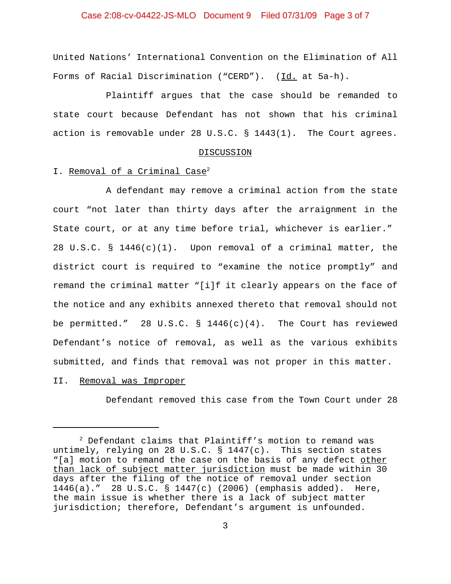## Case 2:08-cv-04422-JS-MLO Document 9 Filed 07/31/09 Page 3 of 7

United Nations' International Convention on the Elimination of All Forms of Racial Discrimination ("CERD"). (Id. at 5a-h).

Plaintiff argues that the case should be remanded to state court because Defendant has not shown that his criminal action is removable under 28 U.S.C. § 1443(1). The Court agrees.

#### DISCUSSION

#### I. Removal of a Criminal Case<sup>2</sup>

A defendant may remove a criminal action from the state court "not later than thirty days after the arraignment in the State court, or at any time before trial, whichever is earlier." 28 U.S.C. §  $1446(c)(1)$ . Upon removal of a criminal matter, the district court is required to "examine the notice promptly" and remand the criminal matter "[i]f it clearly appears on the face of the notice and any exhibits annexed thereto that removal should not be permitted." 28 U.S.C. §  $1446(c)(4)$ . The Court has reviewed Defendant's notice of removal, as well as the various exhibits submitted, and finds that removal was not proper in this matter.

## II. Removal was Improper

Defendant removed this case from the Town Court under 28

<sup>2</sup> Defendant claims that Plaintiff's motion to remand was untimely, relying on 28 U.S.C. § 1447(c). This section states "[a] motion to remand the case on the basis of any defect other than lack of subject matter jurisdiction must be made within 30 days after the filing of the notice of removal under section 1446(a)." 28 U.S.C. § 1447(c) (2006) (emphasis added). Here, the main issue is whether there is a lack of subject matter jurisdiction; therefore, Defendant's argument is unfounded.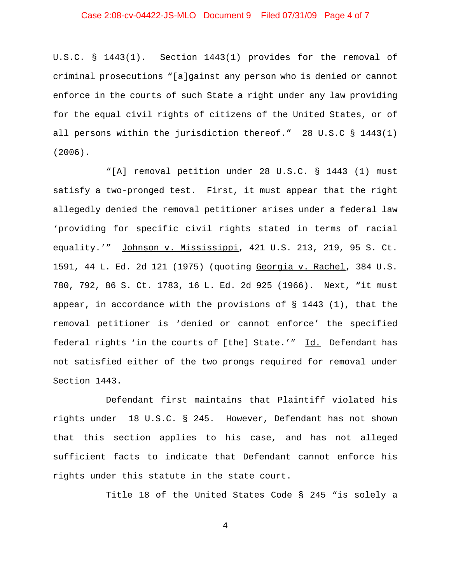# Case 2:08-cv-04422-JS-MLO Document 9 Filed 07/31/09 Page 4 of 7

U.S.C. § 1443(1). Section 1443(1) provides for the removal of criminal prosecutions "[a]gainst any person who is denied or cannot enforce in the courts of such State a right under any law providing for the equal civil rights of citizens of the United States, or of all persons within the jurisdiction thereof." 28 U.S.C § 1443(1) (2006).

"[A] removal petition under 28 U.S.C. § 1443 (1) must satisfy a two-pronged test. First, it must appear that the right allegedly denied the removal petitioner arises under a federal law 'providing for specific civil rights stated in terms of racial equality.'" Johnson v. Mississippi, 421 U.S. 213, 219, 95 S. Ct. 1591, 44 L. Ed. 2d 121 (1975) (quoting Georgia v. Rachel, 384 U.S. 780, 792, 86 S. Ct. 1783, 16 L. Ed. 2d 925 (1966). Next, "it must appear, in accordance with the provisions of  $\S$  1443 (1), that the removal petitioner is 'denied or cannot enforce' the specified federal rights 'in the courts of [the] State.'" Id. Defendant has not satisfied either of the two prongs required for removal under Section 1443.

Defendant first maintains that Plaintiff violated his rights under 18 U.S.C. § 245. However, Defendant has not shown that this section applies to his case, and has not alleged sufficient facts to indicate that Defendant cannot enforce his rights under this statute in the state court.

Title 18 of the United States Code § 245 "is solely a

4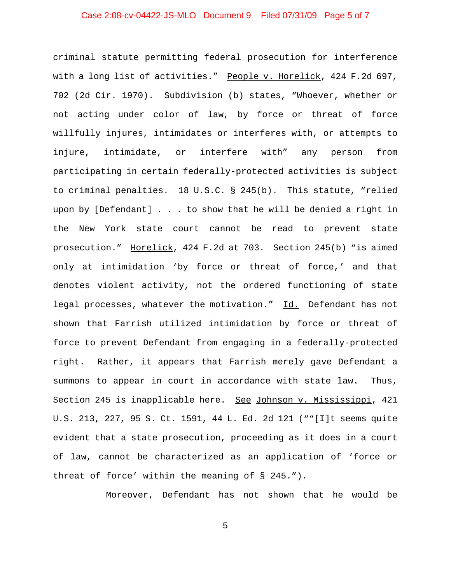# Case 2:08-cv-04422-JS-MLO Document 9 Filed 07/31/09 Page 5 of 7

criminal statute permitting federal prosecution for interference with a long list of activities." People v. Horelick, 424 F.2d 697, 702 (2d Cir. 1970). Subdivision (b) states, "Whoever, whether or not acting under color of law, by force or threat of force willfully injures, intimidates or interferes with, or attempts to injure, intimidate, or interfere with" any person from participating in certain federally-protected activities is subject to criminal penalties. 18 U.S.C. § 245(b). This statute, "relied upon by [Defendant] . . . to show that he will be denied a right in the New York state court cannot be read to prevent state prosecution." Horelick, 424 F.2d at 703. Section 245(b) "is aimed only at intimidation 'by force or threat of force,' and that denotes violent activity, not the ordered functioning of state legal processes, whatever the motivation." Id. Defendant has not shown that Farrish utilized intimidation by force or threat of force to prevent Defendant from engaging in a federally-protected right. Rather, it appears that Farrish merely gave Defendant a summons to appear in court in accordance with state law. Thus, Section 245 is inapplicable here. See Johnson v. Mississippi, 421 U.S. 213, 227, 95 S. Ct. 1591, 44 L. Ed. 2d 121 (""[I]t seems quite evident that a state prosecution, proceeding as it does in a court of law, cannot be characterized as an application of 'force or threat of force' within the meaning of § 245.").

Moreover, Defendant has not shown that he would be

5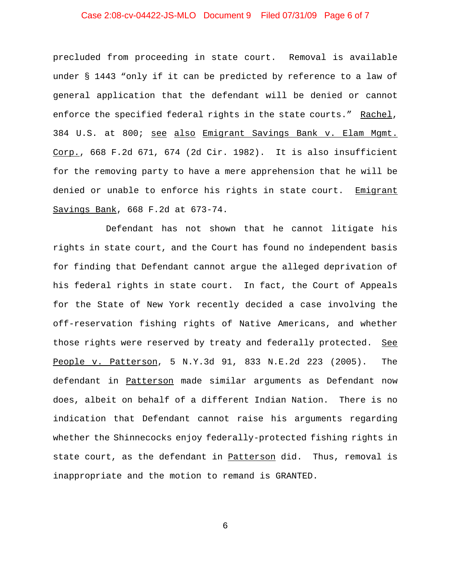# Case 2:08-cv-04422-JS-MLO Document 9 Filed 07/31/09 Page 6 of 7

precluded from proceeding in state court. Removal is available under § 1443 "only if it can be predicted by reference to a law of general application that the defendant will be denied or cannot enforce the specified federal rights in the state courts." Rachel, 384 U.S. at 800; see also Emigrant Savings Bank v. Elam Mgmt. Corp., 668 F.2d 671, 674 (2d Cir. 1982). It is also insufficient for the removing party to have a mere apprehension that he will be denied or unable to enforce his rights in state court. Emigrant Savings Bank, 668 F.2d at 673-74.

Defendant has not shown that he cannot litigate his rights in state court, and the Court has found no independent basis for finding that Defendant cannot argue the alleged deprivation of his federal rights in state court. In fact, the Court of Appeals for the State of New York recently decided a case involving the off-reservation fishing rights of Native Americans, and whether those rights were reserved by treaty and federally protected. See People v. Patterson, 5 N.Y.3d 91, 833 N.E.2d 223 (2005). The defendant in Patterson made similar arguments as Defendant now does, albeit on behalf of a different Indian Nation. There is no indication that Defendant cannot raise his arguments regarding whether the Shinnecocks enjoy federally-protected fishing rights in state court, as the defendant in Patterson did. Thus, removal is inappropriate and the motion to remand is GRANTED.

6